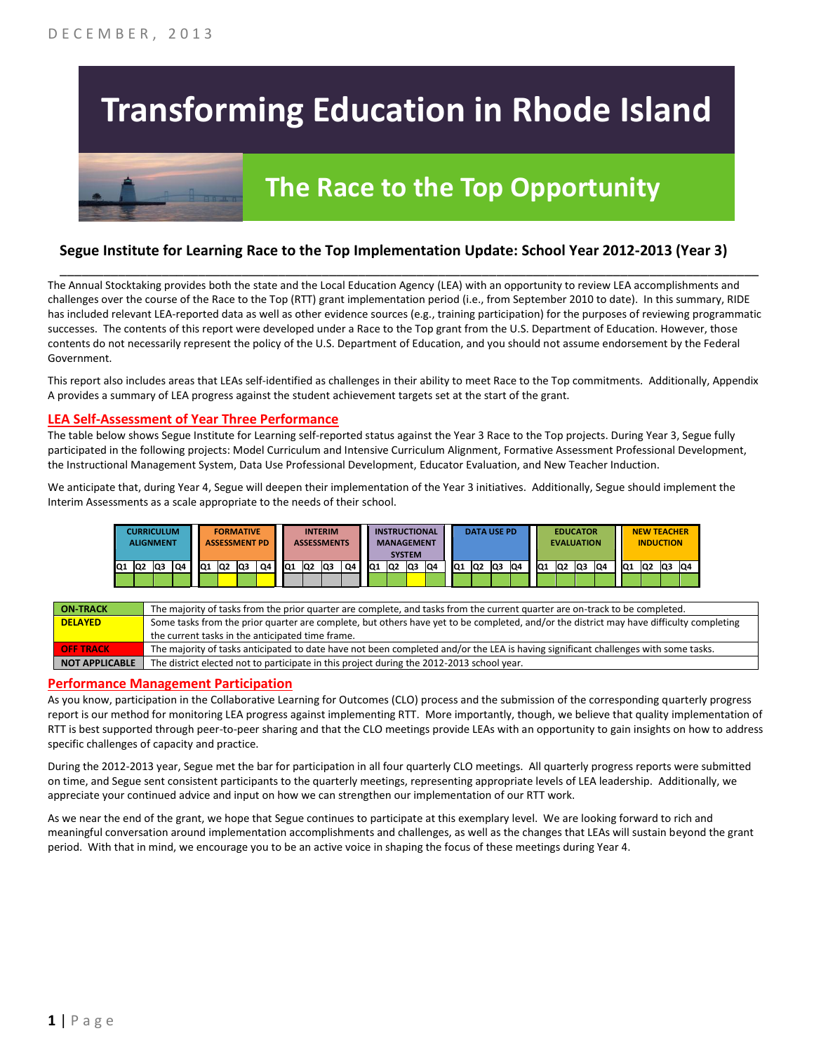# **Transforming Education in Rhode Island**



# **The Race to the Top Opportunity**

### **Segue Institute for Learning Race to the Top Implementation Update: School Year 2012-2013 (Year 3)**

The Annual Stocktaking provides both the state and the Local Education Agency (LEA) with an opportunity to review LEA accomplishments and challenges over the course of the Race to the Top (RTT) grant implementation period (i.e., from September 2010 to date). In this summary, RIDE has included relevant LEA-reported data as well as other evidence sources (e.g., training participation) for the purposes of reviewing programmatic successes. The contents of this report were developed under a Race to the Top grant from the U.S. Department of Education. However, those contents do not necessarily represent the policy of the U.S. Department of Education, and you should not assume endorsement by the Federal Government.

\_\_\_\_\_\_\_\_\_\_\_\_\_\_\_\_\_\_\_\_\_\_\_\_\_\_\_\_\_\_\_\_\_\_\_\_\_\_\_\_\_\_\_\_\_\_\_\_\_\_\_\_\_\_\_\_\_\_\_\_\_\_\_\_\_\_\_\_\_\_\_\_\_\_\_\_\_\_\_\_\_\_\_\_\_\_\_\_\_\_\_\_\_\_\_\_

This report also includes areas that LEAs self-identified as challenges in their ability to meet Race to the Top commitments. Additionally, Appendix A provides a summary of LEA progress against the student achievement targets set at the start of the grant.

#### **LEA Self-Assessment of Year Three Performance**

The table below shows Segue Institute for Learning self-reported status against the Year 3 Race to the Top projects. During Year 3, Segue fully participated in the following projects: Model Curriculum and Intensive Curriculum Alignment, Formative Assessment Professional Development, the Instructional Management System, Data Use Professional Development, Educator Evaluation, and New Teacher Induction.

We anticipate that, during Year 4, Segue will deepen their implementation of the Year 3 initiatives. Additionally, Segue should implement the Interim Assessments as a scale appropriate to the needs of their school.

|     | <b>CURRICULUM</b><br><b>ALIGNMENT</b> |     |    |    |                | <b>FORMATIVE</b><br><b>ASSESSMENT PD</b> |    |     |                 | <b>INTERIM</b><br><b>ASSESSMENTS</b> |    |    | <b>INSTRUCTIONAL</b><br><b>MANAGEMENT</b> | <b>SYSTEM</b> |     |                 | <b>DATA USE PD</b> |    |     |                 | <b>EDUCATOR</b><br><b>EVALUATION</b> |    |    |     | <b>NEW TEACHER</b> | <b>INDUCTION</b> |    |
|-----|---------------------------------------|-----|----|----|----------------|------------------------------------------|----|-----|-----------------|--------------------------------------|----|----|-------------------------------------------|---------------|-----|-----------------|--------------------|----|-----|-----------------|--------------------------------------|----|----|-----|--------------------|------------------|----|
| IQ1 | Q <sub>2</sub>                        | lQ3 | Q4 | Q1 | Q <sub>2</sub> | lQ3                                      | Q4 | IQ1 | lQ <sub>2</sub> | Q3                                   | Q4 | Q1 | IQ <sub>2</sub>                           | lQ3           | IQ4 | IQ <sub>1</sub> | <b>Q2</b>          | Q3 | IQ4 | IQ <sub>1</sub> | Q <sub>2</sub>                       | Q3 | Q4 | IQ1 | Q <sub>2</sub>     | lQ3              | Q4 |
|     |                                       |     |    |    |                |                                          |    |     |                 |                                      |    |    |                                           |               |     |                 |                    |    |     |                 |                                      |    |    |     |                    |                  |    |

| <b>ON-TRACK</b>  | The majority of tasks from the prior quarter are complete, and tasks from the current quarter are on-track to be completed.             |
|------------------|-----------------------------------------------------------------------------------------------------------------------------------------|
| <b>DELAYED</b>   | Some tasks from the prior quarter are complete, but others have yet to be completed, and/or the district may have difficulty completing |
|                  | the current tasks in the anticipated time frame.                                                                                        |
| <b>OFF TRACK</b> | The majority of tasks anticipated to date have not been completed and/or the LEA is having significant challenges with some tasks.      |
| NOT APPLICABLE   | The district elected not to participate in this project during the 2012-2013 school year.                                               |

#### **Performance Management Participation**

As you know, participation in the Collaborative Learning for Outcomes (CLO) process and the submission of the corresponding quarterly progress report is our method for monitoring LEA progress against implementing RTT. More importantly, though, we believe that quality implementation of RTT is best supported through peer-to-peer sharing and that the CLO meetings provide LEAs with an opportunity to gain insights on how to address specific challenges of capacity and practice.

During the 2012-2013 year, Segue met the bar for participation in all four quarterly CLO meetings. All quarterly progress reports were submitted on time, and Segue sent consistent participants to the quarterly meetings, representing appropriate levels of LEA leadership. Additionally, we appreciate your continued advice and input on how we can strengthen our implementation of our RTT work.

As we near the end of the grant, we hope that Segue continues to participate at this exemplary level. We are looking forward to rich and meaningful conversation around implementation accomplishments and challenges, as well as the changes that LEAs will sustain beyond the grant period. With that in mind, we encourage you to be an active voice in shaping the focus of these meetings during Year 4.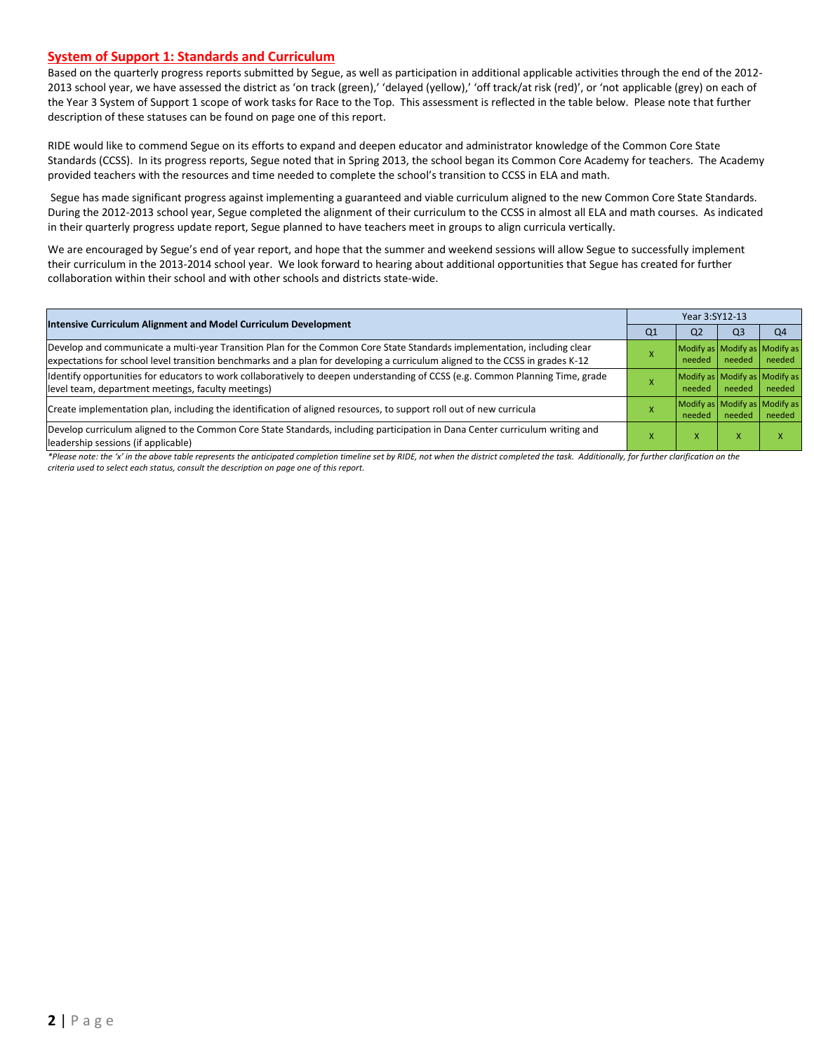#### **System of Support 1: Standards and Curriculum**

Based on the quarterly progress reports submitted by Segue, as well as participation in additional applicable activities through the end of the 2012- 2013 school year, we have assessed the district as 'on track (green),' 'delayed (yellow),' 'off track/at risk (red)', or 'not applicable (grey) on each of the Year 3 System of Support 1 scope of work tasks for Race to the Top. This assessment is reflected in the table below. Please note that further description of these statuses can be found on page one of this report.

RIDE would like to commend Segue on its efforts to expand and deepen educator and administrator knowledge of the Common Core State Standards (CCSS). In its progress reports, Segue noted that in Spring 2013, the school began its Common Core Academy for teachers. The Academy provided teachers with the resources and time needed to complete the school's transition to CCSS in ELA and math.

Segue has made significant progress against implementing a guaranteed and viable curriculum aligned to the new Common Core State Standards. During the 2012-2013 school year, Segue completed the alignment of their curriculum to the CCSS in almost all ELA and math courses. As indicated in their quarterly progress update report, Segue planned to have teachers meet in groups to align curricula vertically.

We are encouraged by Segue's end of year report, and hope that the summer and weekend sessions will allow Segue to successfully implement their curriculum in the 2013-2014 school year. We look forward to hearing about additional opportunities that Segue has created for further collaboration within their school and with other schools and districts state-wide.

| Intensive Curriculum Alignment and Model Curriculum Development                                                                                                                                                                                           | Year 3:SY12-13 |                                         |                                         |                |  |  |
|-----------------------------------------------------------------------------------------------------------------------------------------------------------------------------------------------------------------------------------------------------------|----------------|-----------------------------------------|-----------------------------------------|----------------|--|--|
|                                                                                                                                                                                                                                                           | Q <sub>1</sub> | Q <sub>2</sub>                          | Q <sub>3</sub>                          | Q <sub>4</sub> |  |  |
| Develop and communicate a multi-year Transition Plan for the Common Core State Standards implementation, including clear<br>expectations for school level transition benchmarks and a plan for developing a curriculum aligned to the CCSS in grades K-12 |                | Modify as Modify as Modify as           | needed needed                           | needed         |  |  |
| ldentify opportunities for educators to work collaboratively to deepen understanding of CCSS (e.g. Common Planning Time, grade<br>level team, department meetings, faculty meetings)                                                                      |                | Modify as Modify as Modify as<br>needed | needed                                  | needed         |  |  |
| Create implementation plan, including the identification of aligned resources, to support roll out of new curricula                                                                                                                                       |                | needed                                  | Modify as Modify as Modify as<br>needed | needed         |  |  |
| Develop curriculum aligned to the Common Core State Standards, including participation in Dana Center curriculum writing and<br>leadership sessions (if applicable)                                                                                       |                | $\lambda$                               |                                         |                |  |  |

*\*Please note: the 'x' in the above table represents the anticipated completion timeline set by RIDE, not when the district completed the task. Additionally, for further clarification on the criteria used to select each status, consult the description on page one of this report.*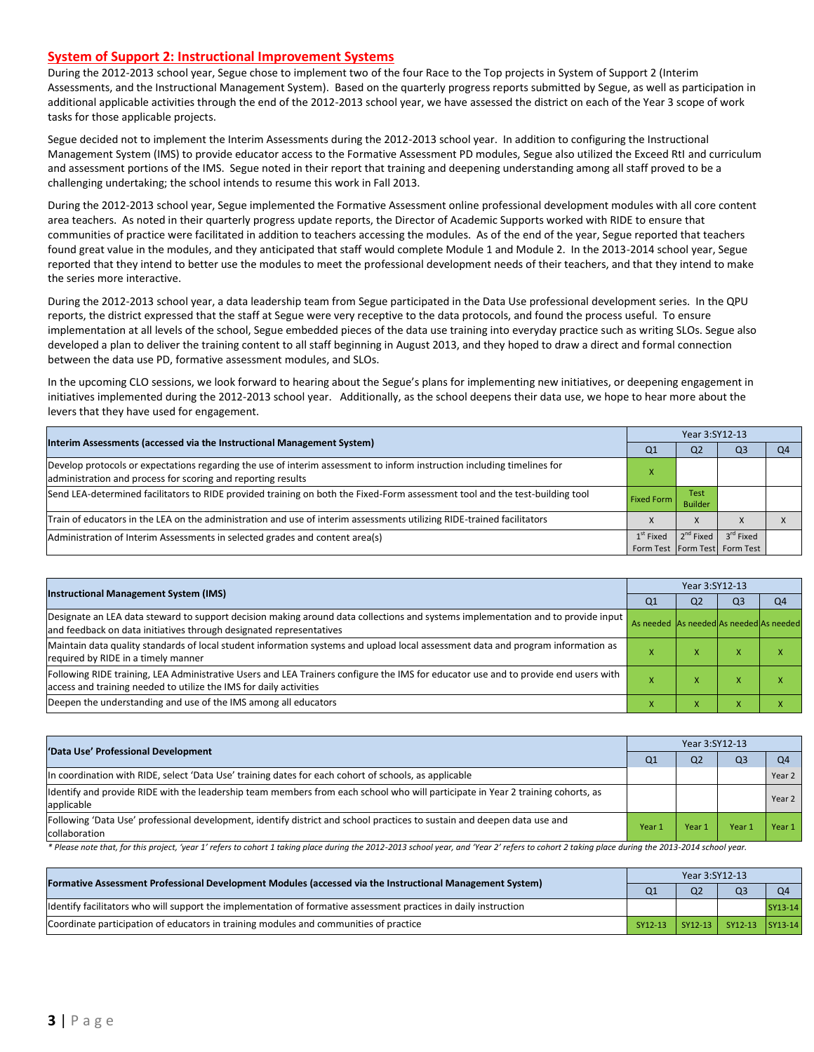#### **System of Support 2: Instructional Improvement Systems**

During the 2012-2013 school year, Segue chose to implement two of the four Race to the Top projects in System of Support 2 (Interim Assessments, and the Instructional Management System). Based on the quarterly progress reports submitted by Segue, as well as participation in additional applicable activities through the end of the 2012-2013 school year, we have assessed the district on each of the Year 3 scope of work tasks for those applicable projects.

Segue decided not to implement the Interim Assessments during the 2012-2013 school year. In addition to configuring the Instructional Management System (IMS) to provide educator access to the Formative Assessment PD modules, Segue also utilized the Exceed RtI and curriculum and assessment portions of the IMS. Segue noted in their report that training and deepening understanding among all staff proved to be a challenging undertaking; the school intends to resume this work in Fall 2013.

During the 2012-2013 school year, Segue implemented the Formative Assessment online professional development modules with all core content area teachers. As noted in their quarterly progress update reports, the Director of Academic Supports worked with RIDE to ensure that communities of practice were facilitated in addition to teachers accessing the modules. As of the end of the year, Segue reported that teachers found great value in the modules, and they anticipated that staff would complete Module 1 and Module 2. In the 2013-2014 school year, Segue reported that they intend to better use the modules to meet the professional development needs of their teachers, and that they intend to make the series more interactive.

During the 2012-2013 school year, a data leadership team from Segue participated in the Data Use professional development series. In the QPU reports, the district expressed that the staff at Segue were very receptive to the data protocols, and found the process useful. To ensure implementation at all levels of the school, Segue embedded pieces of the data use training into everyday practice such as writing SLOs. Segue also developed a plan to deliver the training content to all staff beginning in August 2013, and they hoped to draw a direct and formal connection between the data use PD, formative assessment modules, and SLOs.

In the upcoming CLO sessions, we look forward to hearing about the Segue's plans for implementing new initiatives, or deepening engagement in initiatives implemented during the 2012-2013 school year. Additionally, as the school deepens their data use, we hope to hear more about the levers that they have used for engagement.

| Interim Assessments (accessed via the Instructional Management System)                                                                                                                  |                   |                        | Year 3:SY12-13                |    |  |  |  |  |
|-----------------------------------------------------------------------------------------------------------------------------------------------------------------------------------------|-------------------|------------------------|-------------------------------|----|--|--|--|--|
|                                                                                                                                                                                         | Q <sub>1</sub>    | Q <sub>2</sub>         | Q <sub>3</sub>                | Q4 |  |  |  |  |
| Develop protocols or expectations regarding the use of interim assessment to inform instruction including timelines for<br>administration and process for scoring and reporting results |                   |                        |                               |    |  |  |  |  |
| Send LEA-determined facilitators to RIDE provided training on both the Fixed-Form assessment tool and the test-building tool                                                            | <b>Fixed Form</b> | Test<br><b>Builder</b> |                               |    |  |  |  |  |
| Train of educators in the LEA on the administration and use of interim assessments utilizing RIDE-trained facilitators                                                                  |                   | X                      |                               |    |  |  |  |  |
| Administration of Interim Assessments in selected grades and content area(s)                                                                                                            | $1st$ Fixed       | $2^{nd}$ Fixed         | 3 <sup>rd</sup> Fixed         |    |  |  |  |  |
|                                                                                                                                                                                         |                   |                        | Form Test Form Test Form Test |    |  |  |  |  |

| <b>Instructional Management System (IMS)</b>                                                                                                                                                              |                                         |                | Year 3:SY12-13 |                |  |  |  |  |
|-----------------------------------------------------------------------------------------------------------------------------------------------------------------------------------------------------------|-----------------------------------------|----------------|----------------|----------------|--|--|--|--|
|                                                                                                                                                                                                           | Q1                                      | Q <sub>2</sub> | Q <sub>3</sub> | O <sub>4</sub> |  |  |  |  |
| Designate an LEA data steward to support decision making around data collections and systems implementation and to provide input<br>and feedback on data initiatives through designated representatives   | As needed As needed As needed As needed |                |                |                |  |  |  |  |
| Maintain data quality standards of local student information systems and upload local assessment data and program information as<br>required by RIDE in a timely manner                                   |                                         | $\lambda$      | $\lambda$      |                |  |  |  |  |
| Following RIDE training, LEA Administrative Users and LEA Trainers configure the IMS for educator use and to provide end users with<br>access and training needed to utilize the IMS for daily activities |                                         |                | $\lambda$      |                |  |  |  |  |
| Deepen the understanding and use of the IMS among all educators                                                                                                                                           |                                         |                |                |                |  |  |  |  |

| 'Data Use' Professional Development                                                                                                           | Year 3:SY12-13 |                |                |                |  |  |
|-----------------------------------------------------------------------------------------------------------------------------------------------|----------------|----------------|----------------|----------------|--|--|
|                                                                                                                                               | Q1             | Q <sub>2</sub> | Q <sub>3</sub> | Q <sub>4</sub> |  |  |
| In coordination with RIDE, select 'Data Use' training dates for each cohort of schools, as applicable                                         |                |                |                | Year 2         |  |  |
| ldentify and provide RIDE with the leadership team members from each school who will participate in Year 2 training cohorts, as<br>applicable |                |                |                | Year 2         |  |  |
| Following 'Data Use' professional development, identify district and school practices to sustain and deepen data use and<br>collaboration     | Year 1         | Year 1         | Year           | Year 1         |  |  |

\* Please note that, for this project, 'year 1' refers to cohort 1 taking place during the 2012-2013 school year, and 'Year 2' refers to cohort 2 taking place during the 2013-2014 school year.

| Formative Assessment Professional Development Modules (accessed via the Instructional Management System)          | Year 3:SY12-13 |                |                 |                |  |  |
|-------------------------------------------------------------------------------------------------------------------|----------------|----------------|-----------------|----------------|--|--|
|                                                                                                                   | Q <sub>1</sub> | Q <sub>2</sub> | Q <sub>3</sub>  | Q <sub>4</sub> |  |  |
| Ildentify facilitators who will support the implementation of formative assessment practices in daily instruction |                |                |                 | SY13-14        |  |  |
| Coordinate participation of educators in training modules and communities of practice                             | SY12-13        | $SY12-13$      | SY12-13 SY13-14 |                |  |  |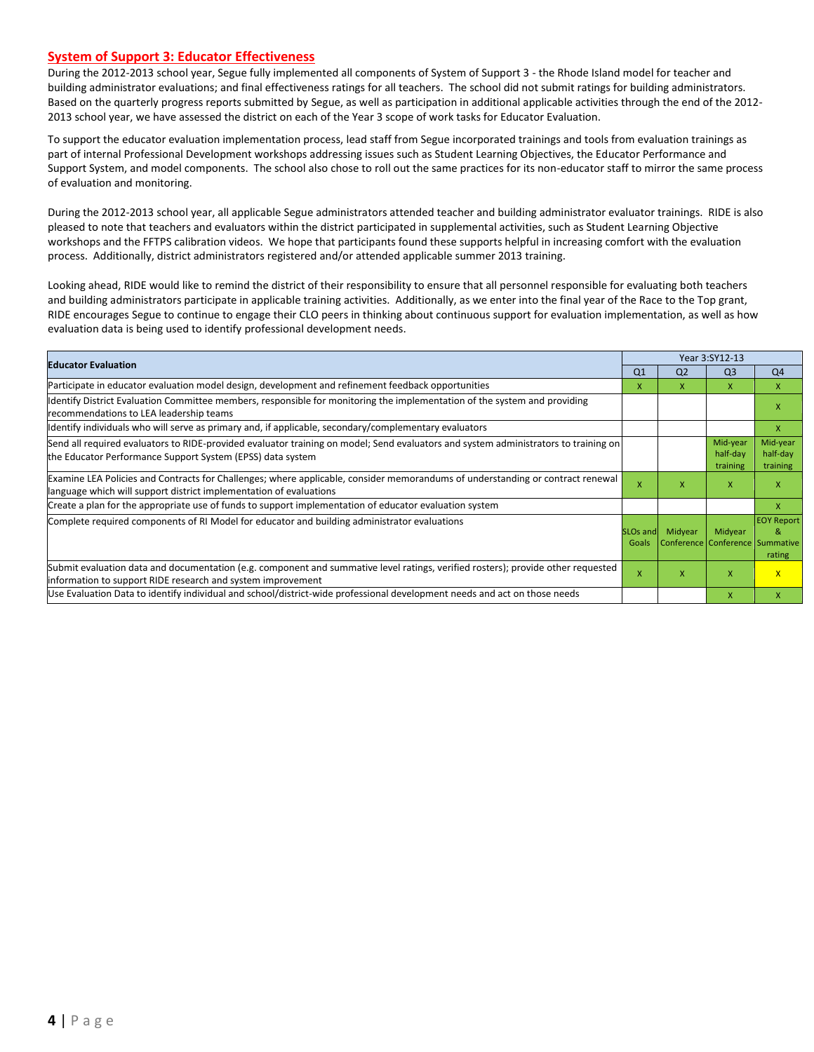#### **System of Support 3: Educator Effectiveness**

During the 2012-2013 school year, Segue fully implemented all components of System of Support 3 - the Rhode Island model for teacher and building administrator evaluations; and final effectiveness ratings for all teachers. The school did not submit ratings for building administrators. Based on the quarterly progress reports submitted by Segue, as well as participation in additional applicable activities through the end of the 2012- 2013 school year, we have assessed the district on each of the Year 3 scope of work tasks for Educator Evaluation.

To support the educator evaluation implementation process, lead staff from Segue incorporated trainings and tools from evaluation trainings as part of internal Professional Development workshops addressing issues such as Student Learning Objectives, the Educator Performance and Support System, and model components. The school also chose to roll out the same practices for its non-educator staff to mirror the same process of evaluation and monitoring.

During the 2012-2013 school year, all applicable Segue administrators attended teacher and building administrator evaluator trainings. RIDE is also pleased to note that teachers and evaluators within the district participated in supplemental activities, such as Student Learning Objective workshops and the FFTPS calibration videos. We hope that participants found these supports helpful in increasing comfort with the evaluation process. Additionally, district administrators registered and/or attended applicable summer 2013 training.

Looking ahead, RIDE would like to remind the district of their responsibility to ensure that all personnel responsible for evaluating both teachers and building administrators participate in applicable training activities. Additionally, as we enter into the final year of the Race to the Top grant, RIDE encourages Segue to continue to engage their CLO peers in thinking about continuous support for evaluation implementation, as well as how evaluation data is being used to identify professional development needs.

| <b>Educator Evaluation</b>                                                                                                                                                                           |                               |                                            | Year 3:SY12-13                   |                                  |  |
|------------------------------------------------------------------------------------------------------------------------------------------------------------------------------------------------------|-------------------------------|--------------------------------------------|----------------------------------|----------------------------------|--|
|                                                                                                                                                                                                      | Q <sub>1</sub>                | Q <sub>2</sub>                             | Q <sub>3</sub>                   | Q4                               |  |
| Participate in educator evaluation model design, development and refinement feedback opportunities                                                                                                   | X                             | x                                          | X                                | X                                |  |
| Identify District Evaluation Committee members, responsible for monitoring the implementation of the system and providing<br>recommendations to LEA leadership teams                                 |                               |                                            |                                  | x                                |  |
| ldentify individuals who will serve as primary and, if applicable, secondary/complementary evaluators                                                                                                |                               |                                            |                                  | $\mathsf{X}$                     |  |
| Send all required evaluators to RIDE-provided evaluator training on model; Send evaluators and system administrators to training on<br>the Educator Performance Support System (EPSS) data system    |                               |                                            | Mid-year<br>half-day<br>training | Mid-year<br>half-day<br>training |  |
| Examine LEA Policies and Contracts for Challenges; where applicable, consider memorandums of understanding or contract renewal<br>language which will support district implementation of evaluations | $\mathsf{x}$                  | X                                          | $\mathsf{x}$                     | X                                |  |
| Create a plan for the appropriate use of funds to support implementation of educator evaluation system                                                                                               |                               |                                            |                                  | x                                |  |
| Complete required components of RI Model for educator and building administrator evaluations                                                                                                         | SLO <sub>s</sub> and<br>Goals | Midyear<br>Conference Conference Summative | Midyear                          | <b>EOY Report</b><br>&<br>rating |  |
| Submit evaluation data and documentation (e.g. component and summative level ratings, verified rosters); provide other requested<br>information to support RIDE research and system improvement      | X                             | X                                          | $\mathsf{x}$                     | $\mathsf{X}$                     |  |
| Use Evaluation Data to identify individual and school/district-wide professional development needs and act on those needs                                                                            |                               |                                            | X                                | X                                |  |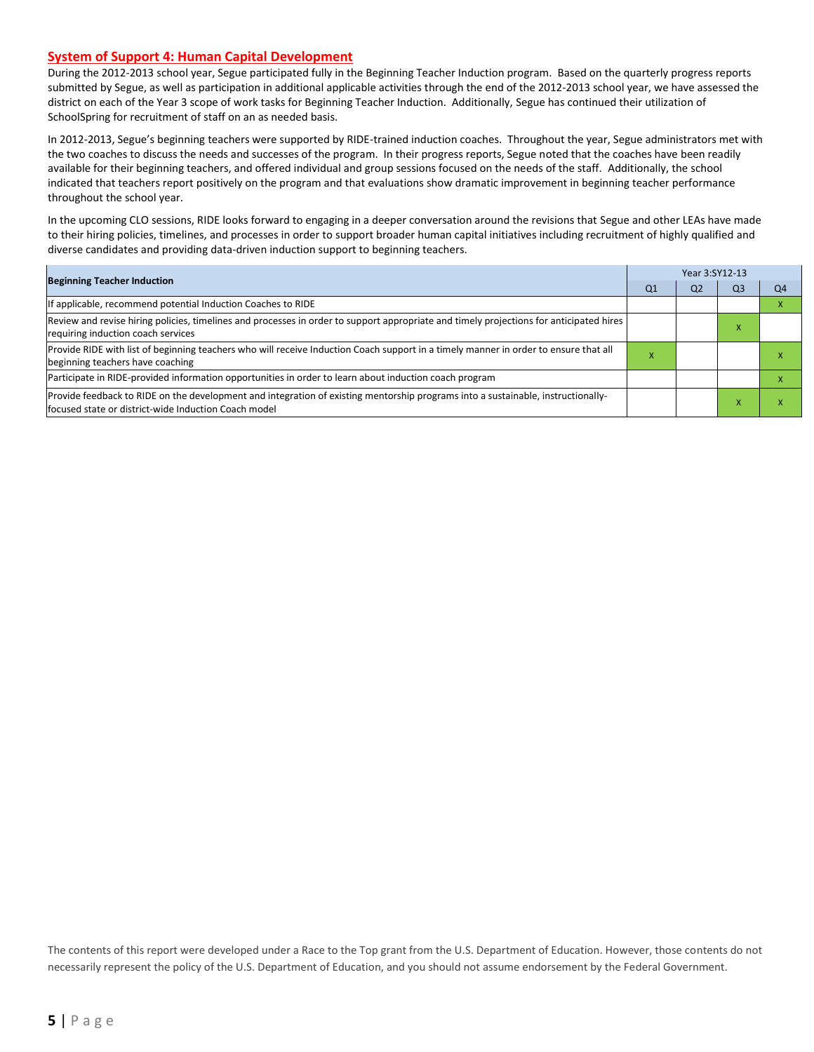#### **System of Support 4: Human Capital Development**

During the 2012-2013 school year, Segue participated fully in the Beginning Teacher Induction program. Based on the quarterly progress reports submitted by Segue, as well as participation in additional applicable activities through the end of the 2012-2013 school year, we have assessed the district on each of the Year 3 scope of work tasks for Beginning Teacher Induction. Additionally, Segue has continued their utilization of SchoolSpring for recruitment of staff on an as needed basis.

In 2012-2013, Segue's beginning teachers were supported by RIDE-trained induction coaches. Throughout the year, Segue administrators met with the two coaches to discuss the needs and successes of the program. In their progress reports, Segue noted that the coaches have been readily available for their beginning teachers, and offered individual and group sessions focused on the needs of the staff. Additionally, the school indicated that teachers report positively on the program and that evaluations show dramatic improvement in beginning teacher performance throughout the school year.

In the upcoming CLO sessions, RIDE looks forward to engaging in a deeper conversation around the revisions that Segue and other LEAs have made to their hiring policies, timelines, and processes in order to support broader human capital initiatives including recruitment of highly qualified and diverse candidates and providing data-driven induction support to beginning teachers.

| <b>Beginning Teacher Induction</b>                                                                                                                                                       |    | Year 3:SY12-13 |    |    |  |  |
|------------------------------------------------------------------------------------------------------------------------------------------------------------------------------------------|----|----------------|----|----|--|--|
|                                                                                                                                                                                          | Q1 | Q2             | Q3 | Q4 |  |  |
| If applicable, recommend potential Induction Coaches to RIDE                                                                                                                             |    |                |    |    |  |  |
| Review and revise hiring policies, timelines and processes in order to support appropriate and timely projections for anticipated hires<br>requiring induction coach services            |    |                |    |    |  |  |
| Provide RIDE with list of beginning teachers who will receive Induction Coach support in a timely manner in order to ensure that all<br>beginning teachers have coaching                 | ⋏  |                |    |    |  |  |
| Participate in RIDE-provided information opportunities in order to learn about induction coach program                                                                                   |    |                |    |    |  |  |
| Provide feedback to RIDE on the development and integration of existing mentorship programs into a sustainable, instructionally-<br>focused state or district-wide Induction Coach model |    |                |    |    |  |  |

The contents of this report were developed under a Race to the Top grant from the U.S. Department of Education. However, those contents do not necessarily represent the policy of the U.S. Department of Education, and you should not assume endorsement by the Federal Government.